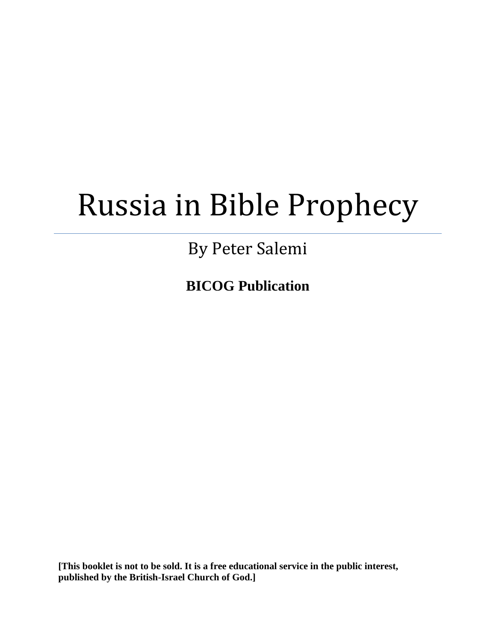# Russia in Bible Prophecy

## By Peter Salemi

**BICOG Publication**

**[This booklet is not to be sold. It is a free educational service in the public interest, published by the British-Israel Church of God.]**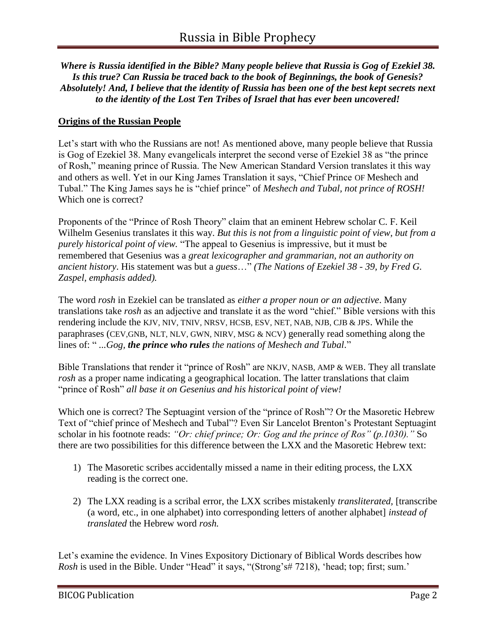*Where is Russia identified in the Bible? Many people believe that Russia is Gog of Ezekiel 38. Is this true? Can Russia be traced back to the book of Beginnings, the book of Genesis? Absolutely! And, I believe that the identity of Russia has been one of the best kept secrets next to the identity of the Lost Ten Tribes of Israel that has ever been uncovered!*

#### **Origins of the Russian People**

Let's start with who the Russians are not! As mentioned above, many people believe that Russia is Gog of Ezekiel 38. Many evangelicals interpret the second verse of Ezekiel 38 as "the prince of Rosh," meaning prince of Russia. The New American Standard Version translates it this way and others as well. Yet in our King James Translation it says, "Chief Prince OF Meshech and Tubal." The King James says he is "chief prince" of *Meshech and Tubal, not prince of ROSH!*  Which one is correct?

Proponents of the "Prince of Rosh Theory" claim that an eminent Hebrew scholar C. F. Keil Wilhelm Gesenius translates it this way. *But this is not from a linguistic point of view, but from a purely historical point of view.* "The appeal to Gesenius is impressive, but it must be remembered that Gesenius was a *great lexicographer and grammarian, not an authority on ancient history*. His statement was but a *guess*…" *(The Nations of Ezekiel 38 - 39, by Fred G. Zaspel, emphasis added).*

The word *rosh* in Ezekiel can be translated as *either a proper noun or an adjective*. Many translations take *rosh* as an adjective and translate it as the word "chief." Bible versions with this rendering include the KJV, NIV, TNIV, NRSV, HCSB, ESV, NET, NAB, NJB, CJB & JPS. While the paraphrases (CEV,GNB, NLT, NLV, GWN, NIRV, MSG & NCV) generally read something along the lines of: " *...Gog, the prince who rules the nations of Meshech and Tubal*."

Bible Translations that render it "prince of Rosh" are NKJV, NASB, AMP & WEB. They all translate *rosh* as a proper name indicating a geographical location. The latter translations that claim "prince of Rosh" *all base it on Gesenius and his historical point of view!*

Which one is correct? The Septuagint version of the "prince of Rosh"? Or the Masoretic Hebrew Text of "chief prince of Meshech and Tubal"? Even Sir Lancelot Brenton's Protestant Septuagint scholar in his footnote reads: *"Or: chief prince; Or: Gog and the prince of Ros" (p.1030)."* So there are two possibilities for this difference between the LXX and the Masoretic Hebrew text:

- 1) The Masoretic scribes accidentally missed a name in their editing process, the LXX reading is the correct one.
- 2) The LXX reading is a scribal error, the LXX scribes mistakenly *transliterated,* [transcribe (a word, etc., in one alphabet) into corresponding letters of another alphabet] *instead of translated* the Hebrew word *rosh.*

Let's examine the evidence. In Vines Expository Dictionary of Biblical Words describes how *Rosh* is used in the Bible. Under "Head" it says, "(Strong's# 7218), 'head; top; first; sum.'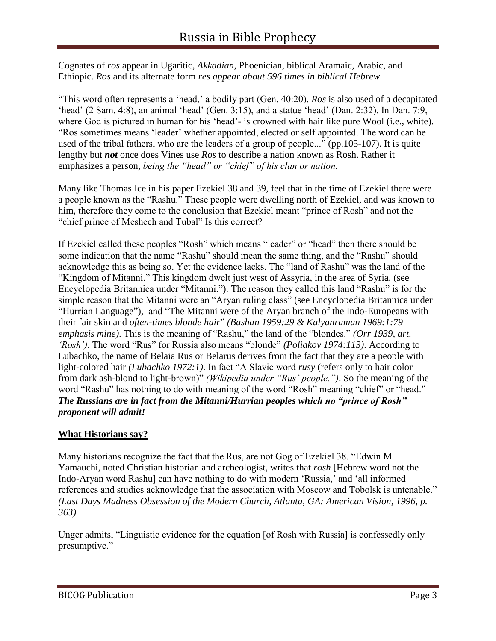Cognates of *ros* appear in Ugaritic, *Akkadian*, Phoenician, biblical Aramaic, Arabic, and Ethiopic. *Ros* and its alternate form *res appear about 596 times in biblical Hebrew.*

"This word often represents a 'head,' a bodily part (Gen. 40:20). *Ros* is also used of a decapitated 'head' (2 Sam. 4:8), an animal 'head' (Gen. 3:15), and a statue 'head' (Dan. 2:32). In Dan. 7:9, where God is pictured in human for his 'head'- is crowned with hair like pure Wool (i.e., white). "Ros sometimes means 'leader' whether appointed, elected or self appointed. The word can be used of the tribal fathers, who are the leaders of a group of people..." (pp.105-107). It is quite lengthy but *not* once does Vines use *Ros* to describe a nation known as Rosh. Rather it emphasizes a person, *being the "head" or "chief" of his clan or nation.*

Many like Thomas Ice in his paper Ezekiel 38 and 39, feel that in the time of Ezekiel there were a people known as the "Rashu." These people were dwelling north of Ezekiel, and was known to him, therefore they come to the conclusion that Ezekiel meant "prince of Rosh" and not the "chief prince of Meshech and Tubal" Is this correct?

If Ezekiel called these peoples "Rosh" which means "leader" or "head" then there should be some indication that the name "Rashu" should mean the same thing, and the "Rashu" should acknowledge this as being so. Yet the evidence lacks. The "land of Rashu" was the land of the "Kingdom of Mitanni." This kingdom dwelt just west of Assyria, in the area of Syria, (see Encyclopedia Britannica under "Mitanni."). The reason they called this land "Rashu" is for the simple reason that the Mitanni were an "Aryan ruling class" (see Encyclopedia Britannica under "Hurrian Language"), and "The Mitanni were of the Aryan branch of the Indo-Europeans with their fair skin and *often-times blonde hair*" *(Bashan 1959:29 & Kalyanraman 1969:1:79 emphasis mine)*. This is the meaning of "Rashu," the land of the "blondes." *(Orr 1939, art. 'Rosh')*. The word "Rus" for Russia also means "blonde" *(Poliakov 1974:113)*. According to Lubachko, the name of Belaia Rus or Belarus derives from the fact that they are a people with light-colored hair *(Lubachko 1972:1)*. In fact "A Slavic word *rusy* (refers only to hair color from dark ash-blond to light-brown)" *(Wikipedia under "Rus' people.")*. So the meaning of the word "Rashu" has nothing to do with meaning of the word "Rosh" meaning "chief" or "head." *The Russians are in fact from the Mitanni/Hurrian peoples which no "prince of Rosh" proponent will admit!*

#### **What Historians say?**

Many historians recognize the fact that the Rus, are not Gog of Ezekiel 38. "Edwin M. Yamauchi, noted Christian historian and archeologist, writes that *rosh* [Hebrew word not the Indo-Aryan word Rashu] can have nothing to do with modern 'Russia,' and 'all informed references and studies acknowledge that the association with Moscow and Tobolsk is untenable." *(Last Days Madness Obsession of the Modern Church, Atlanta, GA: American Vision, 1996, p. 363).*

Unger admits, "Linguistic evidence for the equation [of Rosh with Russia] is confessedly only presumptive."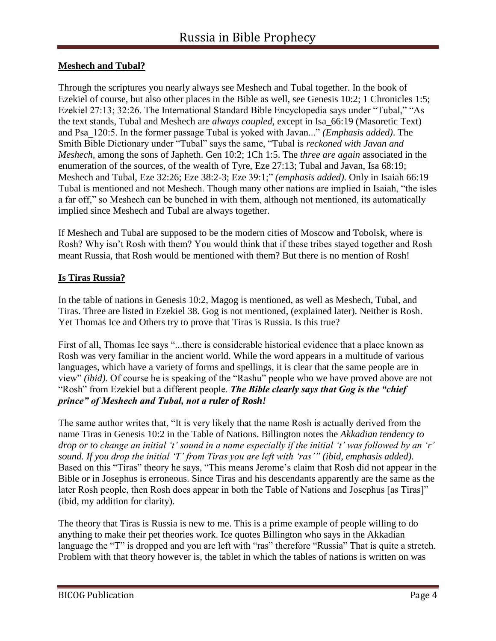#### **Meshech and Tubal?**

Through the scriptures you nearly always see Meshech and Tubal together. In the book of Ezekiel of course, but also other places in the Bible as well, see Genesis 10:2; 1 Chronicles 1:5; Ezekiel 27:13; 32:26. The International Standard Bible Encyclopedia says under "Tubal," "As the text stands, Tubal and Meshech are *always coupled,* except in Isa\_66:19 (Masoretic Text) and Psa\_120:5. In the former passage Tubal is yoked with Javan..." *(Emphasis added)*. The Smith Bible Dictionary under "Tubal" says the same, "Tubal is *reckoned with Javan and Meshech,* among the sons of Japheth. Gen 10:2; 1Ch 1:5. The *three are again* associated in the enumeration of the sources, of the wealth of Tyre, Eze 27:13; Tubal and Javan, Isa 68:19; Meshech and Tubal, Eze 32:26; Eze 38:2-3; Eze 39:1;" *(emphasis added)*. Only in Isaiah 66:19 Tubal is mentioned and not Meshech. Though many other nations are implied in Isaiah, "the isles a far off," so Meshech can be bunched in with them, although not mentioned, its automatically implied since Meshech and Tubal are always together.

If Meshech and Tubal are supposed to be the modern cities of Moscow and Tobolsk, where is Rosh? Why isn't Rosh with them? You would think that if these tribes stayed together and Rosh meant Russia, that Rosh would be mentioned with them? But there is no mention of Rosh!

#### **Is Tiras Russia?**

In the table of nations in Genesis 10:2, Magog is mentioned, as well as Meshech, Tubal, and Tiras. Three are listed in Ezekiel 38. Gog is not mentioned, (explained later). Neither is Rosh. Yet Thomas Ice and Others try to prove that Tiras is Russia. Is this true?

First of all, Thomas Ice says "...there is considerable historical evidence that a place known as Rosh was very familiar in the ancient world. While the word appears in a multitude of various languages, which have a variety of forms and spellings, it is clear that the same people are in view" *(ibid)*. Of course he is speaking of the "Rashu" people who we have proved above are not "Rosh" from Ezekiel but a different people. *The Bible clearly says that Gog is the "chief prince" of Meshech and Tubal, not a ruler of Rosh!*

The same author writes that, "It is very likely that the name Rosh is actually derived from the name Tiras in Genesis 10:2 in the Table of Nations. Billington notes the *Akkadian tendency to drop or to change an initial 't' sound in a name especially if the initial 't' was followed by an 'r' sound. If you drop the initial 'T' from Tiras you are left with 'ras'" (ibid, emphasis added)*. Based on this "Tiras" theory he says, "This means Jerome's claim that Rosh did not appear in the Bible or in Josephus is erroneous. Since Tiras and his descendants apparently are the same as the later Rosh people, then Rosh does appear in both the Table of Nations and Josephus [as Tiras]" (ibid, my addition for clarity).

The theory that Tiras is Russia is new to me. This is a prime example of people willing to do anything to make their pet theories work. Ice quotes Billington who says in the Akkadian language the "T" is dropped and you are left with "ras" therefore "Russia" That is quite a stretch. Problem with that theory however is, the tablet in which the tables of nations is written on was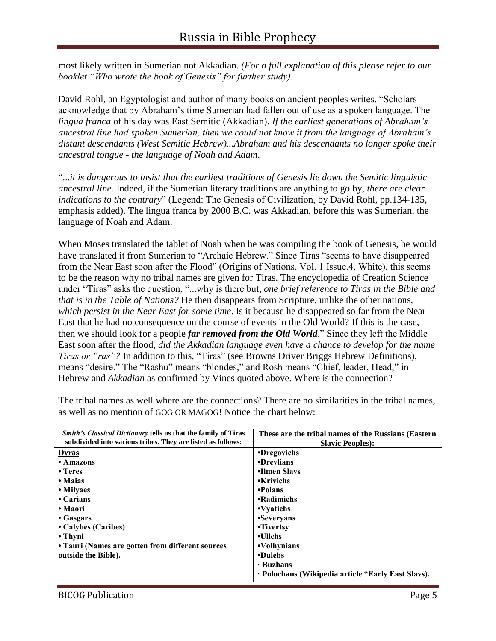most likely written in Sumerian not Akkadian. *(For a full explanation of this please refer to our booklet "Who wrote the book of Genesis" for further study).*

David Rohl, an Egyptologist and author of many books on ancient peoples writes, "Scholars acknowledge that by Abraham's time Sumerian had fallen out of use as a spoken language. The *lingua franca* of his day was East Semitic (Akkadian). *If the earliest generations of Abraham's ancestral line had spoken Sumerian, then we could not know it from the language of Abraham's distant descendants (West Semitic Hebrew)...Abraham and his descendants no longer spoke their ancestral tongue - the language of Noah and Adam*.

"...*it is dangerous to insist that the earliest traditions of Genesis lie down the Semitic linguistic ancestral line.* Indeed, if the Sumerian literary traditions are anything to go by, *there are clear indications to the contrary*" (Legend: The Genesis of Civilization, by David Rohl, pp.134-135, emphasis added). The lingua franca by 2000 B.C. was Akkadian, before this was Sumerian, the language of Noah and Adam.

When Moses translated the tablet of Noah when he was compiling the book of Genesis, he would have translated it from Sumerian to "Archaic Hebrew." Since Tiras "seems to have disappeared from the Near East soon after the Flood" (Origins of Nations, Vol. 1 Issue.4, White), this seems to be the reason why no tribal names are given for Tiras. The encyclopedia of Creation Science under "Tiras" asks the question, "...why is there but, *one brief reference to Tiras in the Bible and that is in the Table of Nations?* He then disappears from Scripture, unlike the other nations, *which persist in the Near East for some time*. Is it because he disappeared so far from the Near East that he had no consequence on the course of events in the Old World? If this is the case, then we should look for a people *far removed from the Old World*." Since they left the Middle East soon after the flood, *did the Akkadian language even have a chance to develop for the name Tiras or "ras"?* In addition to this, "Tiras" (see Browns Driver Briggs Hebrew Definitions), means "desire." The "Rashu" means "blondes," and Rosh means "Chief, leader, Head," in Hebrew and *Akkadian* as confirmed by Vines quoted above. Where is the connection?

| <i>Smith's Classical Dictionary tells us that the family of Tiras</i><br>subdivided into various tribes. They are listed as follows: | These are the tribal names of the Russians (Eastern<br><b>Slavic Peoples:</b> |
|--------------------------------------------------------------------------------------------------------------------------------------|-------------------------------------------------------------------------------|
| <b>Dyras</b>                                                                                                                         | •Dregovichs                                                                   |
| • Amazons                                                                                                                            | •Drevlians                                                                    |
| $\cdot$ Teres                                                                                                                        | •Ilmen Slavs                                                                  |
| • Maias                                                                                                                              | <b>•Krivichs</b>                                                              |
| • Milyaes                                                                                                                            | •Polans                                                                       |
| $\cdot$ Carians                                                                                                                      | •Radimichs                                                                    |
| • Maori                                                                                                                              | • Vyatichs                                                                    |
| • Gasgars                                                                                                                            | •Severyans                                                                    |
| • Calybes (Caribes)                                                                                                                  | •Tivertsy                                                                     |
| • Thyni                                                                                                                              | •Ulichs                                                                       |
| • Tauri (Names are gotten from different sources                                                                                     | •Volhynians                                                                   |
| outside the Bible).                                                                                                                  | •Dulebs                                                                       |
|                                                                                                                                      | $\cdot$ Buzhans                                                               |
|                                                                                                                                      | · Polochans (Wikipedia article "Early East Slavs).                            |

The tribal names as well where are the connections? There are no similarities in the tribal names, as well as no mention of GOG OR MAGOG! Notice the chart below: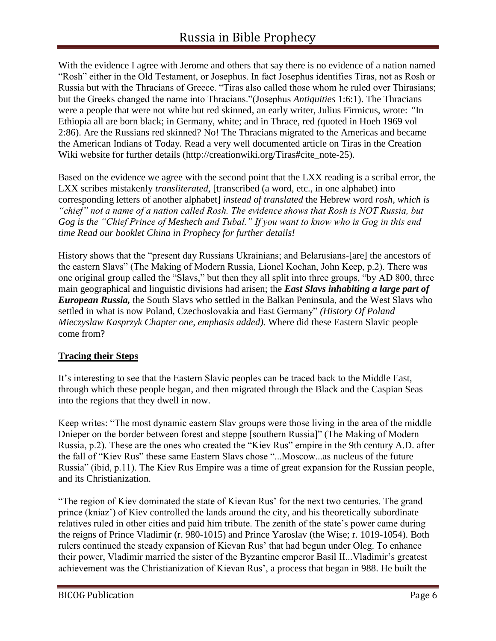With the evidence I agree with Jerome and others that say there is no evidence of a nation named "Rosh" either in the Old Testament, or Josephus. In fact Josephus identifies Tiras, not as Rosh or Russia but with the Thracians of Greece. "Tiras also called those whom he ruled over Thirasians; but the Greeks changed the name into Thracians."(Josephus *Antiquities* 1:6:1). The Thracians were a people that were not white but red skinned, an early writer, Julius Firmicus, wrote: *"*In Ethiopia all are born black; in Germany, white; and in Thrace, red *(*quoted in Hoeh 1969 vol 2:86). Are the Russians red skinned? No! The Thracians migrated to the Americas and became the American Indians of Today. Read a very well documented article on Tiras in the Creation Wiki website for further details (http://creationwiki.org/Tiras#cite\_note-25).

Based on the evidence we agree with the second point that the LXX reading is a scribal error, the LXX scribes mistakenly *transliterated,* [transcribed (a word, etc., in one alphabet) into corresponding letters of another alphabet] *instead of translated* the Hebrew word *rosh, which is "chief" not a name of a nation called Rosh. The evidence shows that Rosh is NOT Russia, but Gog is the "Chief Prince of Meshech and Tubal." If you want to know who is Gog in this end time Read our booklet China in Prophecy for further details!*

History shows that the "present day Russians Ukrainians; and Belarusians-[are] the ancestors of the eastern Slavs" (The Making of Modern Russia, Lionel Kochan, John Keep, p.2). There was one original group called the "Slavs," but then they all split into three groups, "by AD 800, three main geographical and linguistic divisions had arisen; the *East Slavs inhabiting a large part of European Russia,* the South Slavs who settled in the Balkan Peninsula, and the West Slavs who settled in what is now Poland, Czechoslovakia and East Germany" *(History Of Poland Mieczyslaw Kasprzyk Chapter one, emphasis added).* Where did these Eastern Slavic people come from?

#### **Tracing their Steps**

It's interesting to see that the Eastern Slavic peoples can be traced back to the Middle East, through which these people began, and then migrated through the Black and the Caspian Seas into the regions that they dwell in now.

Keep writes: "The most dynamic eastern Slav groups were those living in the area of the middle Dnieper on the border between forest and steppe [southern Russia]" (The Making of Modern Russia, p.2). These are the ones who created the "Kiev Rus" empire in the 9th century A.D. after the fall of "Kiev Rus" these same Eastern Slavs chose "...Moscow...as nucleus of the future Russia" (ibid, p.11). The Kiev Rus Empire was a time of great expansion for the Russian people, and its Christianization.

"The region of Kiev dominated the state of Kievan Rus' for the next two centuries. The grand prince (kniaz') of Kiev controlled the lands around the city, and his theoretically subordinate relatives ruled in other cities and paid him tribute. The zenith of the state's power came during the reigns of Prince Vladimir (r. 980-1015) and Prince Yaroslav (the Wise; r. 1019-1054). Both rulers continued the steady expansion of Kievan Rus' that had begun under Oleg. To enhance their power, Vladimir married the sister of the Byzantine emperor Basil II...Vladimir's greatest achievement was the Christianization of Kievan Rus', a process that began in 988. He built the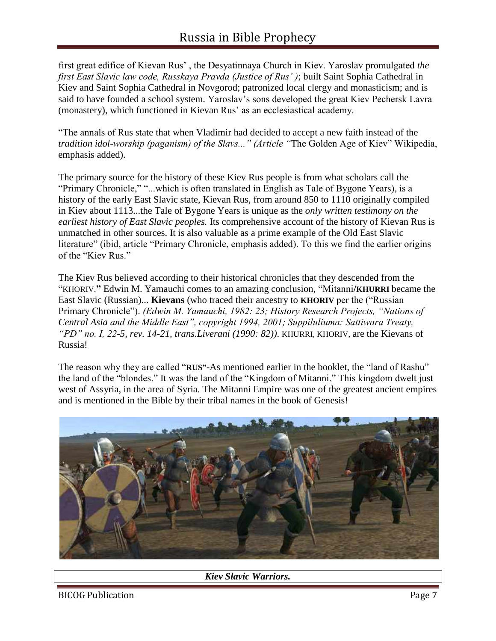first great edifice of Kievan Rus' , the Desyatinnaya Church in Kiev. Yaroslav promulgated *the first East Slavic law code, Russkaya Pravda (Justice of Rus' )*; built Saint Sophia Cathedral in Kiev and Saint Sophia Cathedral in Novgorod; patronized local clergy and monasticism; and is said to have founded a school system. Yaroslav's sons developed the great Kiev Pechersk Lavra (monastery), which functioned in Kievan Rus' as an ecclesiastical academy.

"The annals of Rus state that when Vladimir had decided to accept a new faith instead of the *tradition idol-worship (paganism) of the Slavs..." (Article "*The Golden Age of Kiev" Wikipedia, emphasis added).

The primary source for the history of these Kiev Rus people is from what scholars call the "Primary Chronicle," "...which is often translated in English as Tale of Bygone Years), is a history of the early East Slavic state, Kievan Rus, from around 850 to 1110 originally compiled in Kiev about 1113...the Tale of Bygone Years is unique as the *only written testimony on the earliest history of East Slavic peoples.* Its comprehensive account of the history of Kievan Rus is unmatched in other sources. It is also valuable as a prime example of the Old East Slavic literature" (ibid, article "Primary Chronicle, emphasis added). To this we find the earlier origins of the "Kiev Rus."

The Kiev Rus believed according to their historical chronicles that they descended from the "KHORIV.**"** Edwin M. Yamauchi comes to an amazing conclusion, "Mitanni**/KHURRI** became the East Slavic (Russian)... **Kievans** (who traced their ancestry to **KHORIV** per the ("Russian Primary Chronicle"). *(Edwin M. Yamauchi, 1982: 23; History Research Projects, "Nations of Central Asia and the Middle East", copyright 1994, 2001; Suppiluliuma: Sattiwara Treaty, "PD" no. I, 22-5, rev. 14-21, trans.Liverani (1990: 82))*. KHURRI, KHORIV, are the Kievans of Russia!

The reason why they are called "**RUS"**-As mentioned earlier in the booklet, the "land of Rashu" the land of the "blondes." It was the land of the "Kingdom of Mitanni." This kingdom dwelt just west of Assyria, in the area of Syria. The Mitanni Empire was one of the greatest ancient empires and is mentioned in the Bible by their tribal names in the book of Genesis!



#### *Kiev Slavic Warriors.*

BICOG Publication **Page 7** and Page 7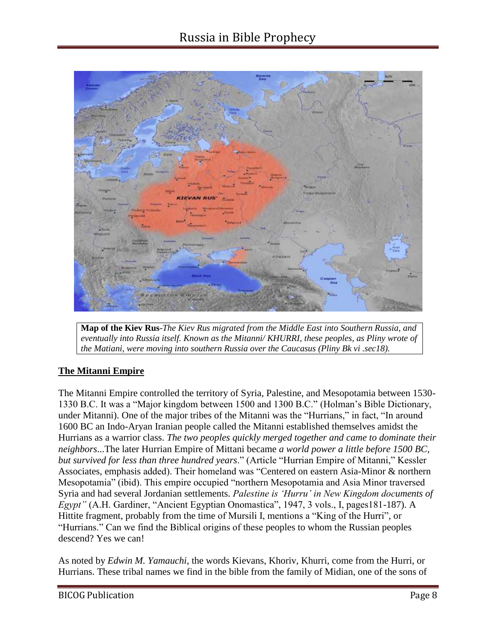

**Map of the Kiev Rus**-*The Kiev Rus migrated from the Middle East into Southern Russia, and eventually into Russia itself. Known as the Mitanni/ KHURRI, these peoples, as Pliny wrote of the Matiani, were moving into southern Russia over the Caucasus (Pliny Bk vi .sec18).*

#### **The Mitanni Empire**

The Mitanni Empire controlled the territory of Syria, Palestine, and Mesopotamia between 1530- 1330 B.C. It was a "Major kingdom between 1500 and 1300 B.C." (Holman's Bible Dictionary, under Mitanni). One of the major tribes of the Mitanni was the "Hurrians," in fact, "In around 1600 BC an Indo-Aryan Iranian people called the Mitanni established themselves amidst the Hurrians as a warrior class. *The two peoples quickly merged together and came to dominate their neighbors*...The later Hurrian Empire of Mittani became *a world power a little before 1500 BC, but survived for less than three hundred years*." (Article "Hurrian Empire of Mitanni," Kessler Associates, emphasis added). Their homeland was "Centered on eastern Asia-Minor & northern Mesopotamia" (ibid). This empire occupied "northern Mesopotamia and Asia Minor traversed Syria and had several Jordanian settlements. *Palestine is 'Hurru' in New Kingdom documents of Egypt"* (A.H. Gardiner, "Ancient Egyptian Onomastica", 1947, 3 vols., I, pages181-187). A Hittite fragment, probably from the time of Mursili I, mentions a "King of the Hurri", or "Hurrians." Can we find the Biblical origins of these peoples to whom the Russian peoples descend? Yes we can!

As noted by *Edwin M. Yamauchi,* the words Kievans, Khoriv, Khurri, come from the Hurri, or Hurrians. These tribal names we find in the bible from the family of Midian, one of the sons of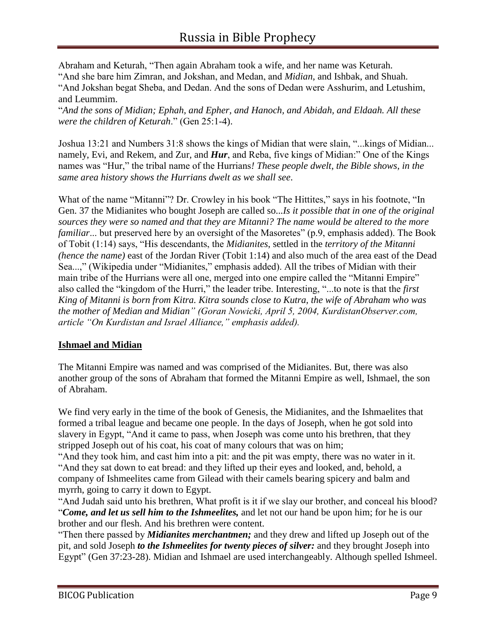Abraham and Keturah, "Then again Abraham took a wife, and her name was Keturah. "And she bare him Zimran, and Jokshan, and Medan, and *Midian*, and Ishbak, and Shuah. "And Jokshan begat Sheba, and Dedan. And the sons of Dedan were Asshurim, and Letushim, and Leummim.

"*And the sons of Midian; Ephah, and Epher, and Hanoch, and Abidah, and Eldaah. All these were the children of Keturah*." (Gen 25:1-4).

Joshua 13:21 and Numbers 31:8 shows the kings of Midian that were slain, "...kings of Midian... namely, Evi, and Rekem, and Zur, and *Hur*, and Reba, five kings of Midian:" One of the Kings names was "Hur," the tribal name of the Hurrians*! These people dwelt, the Bible shows, in the same area history shows the Hurrians dwelt as we shall see*.

What of the name "Mitanni"? Dr. Crowley in his book "The Hittites," says in his footnote, "In Gen. 37 the Midianites who bought Joseph are called so...*Is it possible that in one of the original sources they were so named and that they are Mitanni? The name would be altered to the more familiar*... but preserved here by an oversight of the Masoretes" (p.9, emphasis added). The Book of Tobit (1:14) says, "His descendants, the *Midianites*, settled in the *territory of the Mitanni (hence the name)* east of the Jordan River (Tobit 1:14) and also much of the area east of the Dead Sea...," (Wikipedia under "Midianites," emphasis added). All the tribes of Midian with their main tribe of the Hurrians were all one, merged into one empire called the "Mitanni Empire" also called the "kingdom of the Hurri," the leader tribe. Interesting, "...to note is that the *first King of Mitanni is born from Kitra. Kitra sounds close to Kutra, the wife of Abraham who was the mother of Median and Midian" (Goran Nowicki, April 5, 2004, KurdistanObserver.com, article "On Kurdistan and Israel Alliance," emphasis added).*

#### **Ishmael and Midian**

The Mitanni Empire was named and was comprised of the Midianites. But, there was also another group of the sons of Abraham that formed the Mitanni Empire as well, Ishmael, the son of Abraham.

We find very early in the time of the book of Genesis, the Midianites, and the Ishmaelites that formed a tribal league and became one people. In the days of Joseph, when he got sold into slavery in Egypt, "And it came to pass, when Joseph was come unto his brethren, that they stripped Joseph out of his coat, his coat of many colours that was on him;

"And they took him, and cast him into a pit: and the pit was empty, there was no water in it. "And they sat down to eat bread: and they lifted up their eyes and looked, and, behold, a company of Ishmeelites came from Gilead with their camels bearing spicery and balm and myrrh, going to carry it down to Egypt.

"And Judah said unto his brethren, What profit is it if we slay our brother, and conceal his blood? "*Come, and let us sell him to the Ishmeelites,* and let not our hand be upon him; for he is our brother and our flesh. And his brethren were content.

"Then there passed by *Midianites merchantmen;* and they drew and lifted up Joseph out of the pit, and sold Joseph *to the Ishmeelites for twenty pieces of silver:* and they brought Joseph into Egypt" (Gen 37:23-28). Midian and Ishmael are used interchangeably. Although spelled Ishmeel.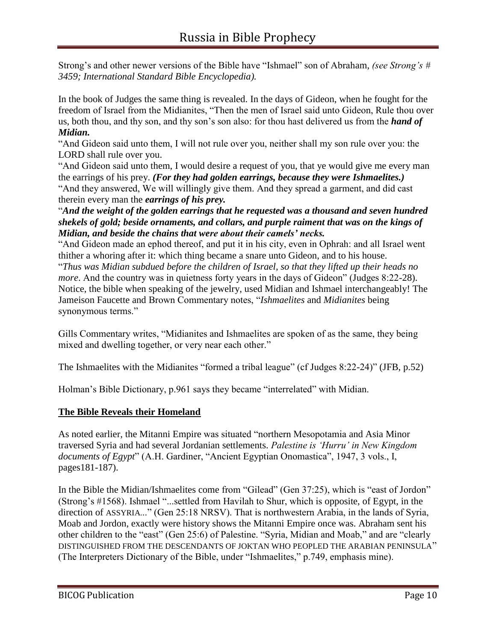Strong's and other newer versions of the Bible have "Ishmael" son of Abraham, *(see Strong's # 3459; International Standard Bible Encyclopedia).*

In the book of Judges the same thing is revealed. In the days of Gideon, when he fought for the freedom of Israel from the Midianites, "Then the men of Israel said unto Gideon, Rule thou over us, both thou, and thy son, and thy son's son also: for thou hast delivered us from the *hand of Midian.*

"And Gideon said unto them, I will not rule over you, neither shall my son rule over you: the LORD shall rule over you.

"And Gideon said unto them, I would desire a request of you, that ye would give me every man the earrings of his prey. *(For they had golden earrings, because they were Ishmaelites.)* "And they answered, We will willingly give them. And they spread a garment, and did cast therein every man the *earrings of his prey.*

"*And the weight of the golden earrings that he requested was a thousand and seven hundred shekels of gold; beside ornaments, and collars, and purple raiment that was on the kings of Midian, and beside the chains that were about their camels' necks.*

"And Gideon made an ephod thereof, and put it in his city, even in Ophrah: and all Israel went thither a whoring after it: which thing became a snare unto Gideon, and to his house.

"*Thus was Midian subdued before the children of Israel, so that they lifted up their heads no more*. And the country was in quietness forty years in the days of Gideon" (Judges 8:22-28). Notice, the bible when speaking of the jewelry, used Midian and Ishmael interchangeably! The Jameison Faucette and Brown Commentary notes, "*Ishmaelites* and *Midianites* being synonymous terms."

Gills Commentary writes, "Midianites and Ishmaelites are spoken of as the same, they being mixed and dwelling together, or very near each other."

The Ishmaelites with the Midianites "formed a tribal league" (cf Judges 8:22-24)" (JFB, p.52)

Holman's Bible Dictionary, p.961 says they became "interrelated" with Midian.

#### **The Bible Reveals their Homeland**

As noted earlier, the Mitanni Empire was situated "northern Mesopotamia and Asia Minor traversed Syria and had several Jordanian settlements. *Palestine is 'Hurru' in New Kingdom documents of Egypt*" (A.H. Gardiner, "Ancient Egyptian Onomastica", 1947, 3 vols., I, pages181-187).

In the Bible the Midian/Ishmaelites come from "Gilead" (Gen 37:25), which is "east of Jordon" (Strong's #1568). Ishmael "...settled from Havilah to Shur, which is opposite, of Egypt, in the direction of ASSYRIA..." (Gen 25:18 NRSV). That is northwestern Arabia, in the lands of Syria, Moab and Jordon, exactly were history shows the Mitanni Empire once was. Abraham sent his other children to the "east" (Gen 25:6) of Palestine. "Syria, Midian and Moab," and are "clearly DISTINGUISHED FROM THE DESCENDANTS OF JOKTAN WHO PEOPLED THE ARABIAN PENINSULA" (The Interpreters Dictionary of the Bible, under "Ishmaelites," p.749, emphasis mine).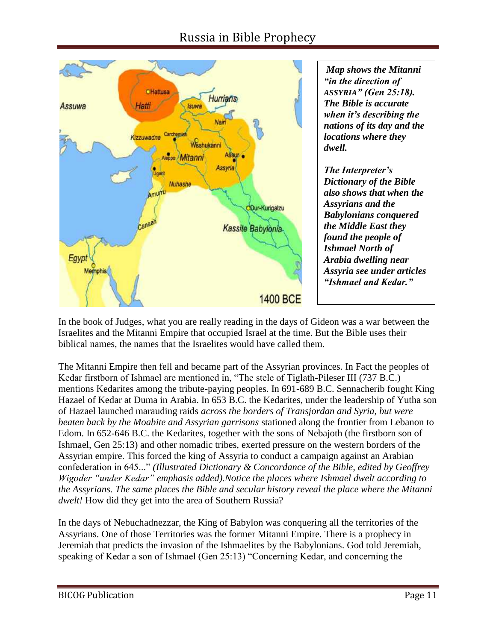### Russia in Bible Prophecy



*Map shows the Mitanni "in the direction of ASSYRIA" (Gen 25:18). The Bible is accurate when it's describing the nations of its day and the locations where they dwell.*

*The Interpreter's Dictionary of the Bible also shows that when the Assyrians and the Babylonians conquered the Middle East they found the people of Ishmael North of Arabia dwelling near Assyria see under articles "Ishmael and Kedar."*

In the book of Judges, what you are really reading in the days of Gideon was a war between the Israelites and the Mitanni Empire that occupied Israel at the time. But the Bible uses their biblical names, the names that the Israelites would have called them.

The Mitanni Empire then fell and became part of the Assyrian provinces. In Fact the peoples of Kedar firstborn of Ishmael are mentioned in, "The stele of Tiglath-Pileser III (737 B.C.) mentions Kedarites among the tribute-paying peoples. In 691-689 B.C. Sennacherib fought King Hazael of Kedar at Duma in Arabia. In 653 B.C. the Kedarites, under the leadership of Yutha son of Hazael launched marauding raids *across the borders of Transjordan and Syria, but were beaten back by the Moabite and Assyrian garrisons* stationed along the frontier from Lebanon to Edom. In 652-646 B.C. the Kedarites, together with the sons of Nebajoth (the firstborn son of Ishmael, Gen 25:13) and other nomadic tribes, exerted pressure on the western borders of the Assyrian empire. This forced the king of Assyria to conduct a campaign against an Arabian confederation in 645..." *(Illustrated Dictionary & Concordance of the Bible, edited by Geoffrey Wigoder "under Kedar" emphasis added).Notice the places where Ishmael dwelt according to the Assyrians. The same places the Bible and secular history reveal the place where the Mitanni dwelt!* How did they get into the area of Southern Russia?

In the days of Nebuchadnezzar, the King of Babylon was conquering all the territories of the Assyrians. One of those Territories was the former Mitanni Empire. There is a prophecy in Jeremiah that predicts the invasion of the Ishmaelites by the Babylonians. God told Jeremiah, speaking of Kedar a son of Ishmael (Gen 25:13) "Concerning Kedar, and concerning the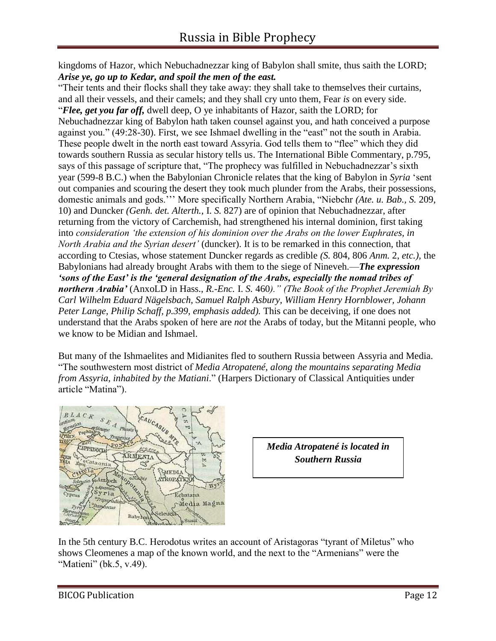kingdoms of Hazor, which Nebuchadnezzar king of Babylon shall smite, thus saith the LORD; *Arise ye, go up to Kedar, and spoil the men of the east.*

"Their tents and their flocks shall they take away: they shall take to themselves their curtains, and all their vessels, and their camels; and they shall cry unto them, Fear *is* on every side. "*Flee, get you far off,* dwell deep, O ye inhabitants of Hazor, saith the LORD; for Nebuchadnezzar king of Babylon hath taken counsel against you, and hath conceived a purpose against you." (49:28-30). First, we see Ishmael dwelling in the "east" not the south in Arabia. These people dwelt in the north east toward Assyria. God tells them to "flee" which they did towards southern Russia as secular history tells us. The International Bible Commentary, p.795, says of this passage of scripture that, "The prophecy was fulfilled in Nebuchadnezzar's sixth year (599-8 B.C.) when the Babylonian Chronicle relates that the king of Babylon in *Syria* 'sent out companies and scouring the desert they took much plunder from the Arabs, their possessions, domestic animals and gods.''' More specifically Northern Arabia, "Niebchr *(Ate. u. Bab., S.* 209, 10) and Duncker *(Genh. det. Alterth.,* I. *S.* 827) are of opinion that Nebuchadnezzar, after returning from the victory of Carchemish, had strengthened his internal dominion, first taking into *consideration 'the extension of his dominion over the Arabs on the lower Euphrates, in North Arabia and the Syrian desert'* (duncker). It is to be remarked in this connection, that according to Ctesias, whose statement Duncker regards as credible *(S.* 804, 806 *Anm.* 2, *etc.),* the Babylonians had already brought Arabs with them to the siege of Nineveh.—*The expression 'sons of the East' is the 'general designation of the Arabs, especially the nomad tribes of northern Arabia'* (AnxoLD in Hass., *R.-Enc.* I. *S.* 460*)." (The Book of the Prophet Jeremiah By Carl Wilhelm Eduard Nägelsbach, Samuel Ralph Asbury, William Henry Hornblower, Johann Peter Lange, Philip Schaff, p.399, emphasis added).* This can be deceiving, if one does not understand that the Arabs spoken of here are *not* the Arabs of today, but the Mitanni people, who we know to be Midian and Ishmael.

But many of the Ishmaelites and Midianites fled to southern Russia between Assyria and Media. "The southwestern most district of *Media Atropatené, along the mountains separating Media from Assyria, inhabited by the Matiani*." (Harpers Dictionary of Classical Antiquities under article "Matina").



*Media Atropatené is located in Southern Russia*

In the 5th century B.C. Herodotus writes an account of Aristagoras "tyrant of Miletus" who shows Cleomenes a map of the known world, and the next to the "Armenians" were the "Matieni" (bk.5, v.49).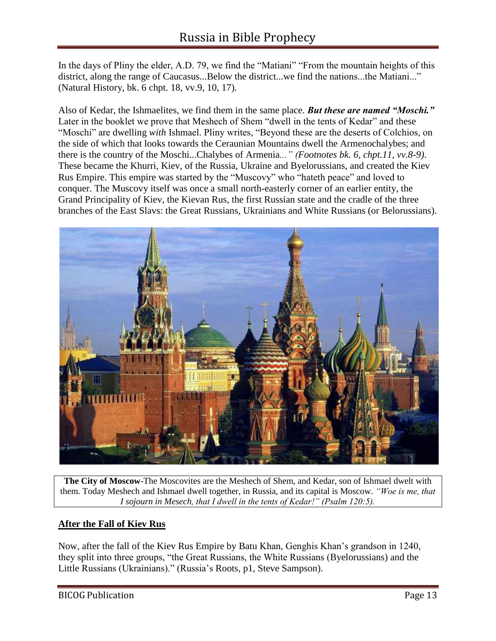In the days of Pliny the elder, A.D. 79, we find the "Matiani" "From the mountain heights of this district, along the range of Caucasus...Below the district...we find the nations...the Matiani..." (Natural History, bk. 6 chpt. 18, vv.9, 10, 17).

Also of Kedar, the Ishmaelites, we find them in the same place. *But these are named "Moschi."* Later in the booklet we prove that Meshech of Shem "dwell in the tents of Kedar" and these "Moschi" are dwelling *with* Ishmael. Pliny writes, "Beyond these are the deserts of Colchios, on the side of which that looks towards the Ceraunian Mountains dwell the Armenochalybes; and there is the country of the Moschi...Chalybes of Armenia*..." (Footnotes bk. 6, chpt.11, vv.8-9)*. These became the Khurri, Kiev, of the Russia, Ukraine and Byelorussians, and created the Kiev Rus Empire. This empire was started by the "Muscovy" who "hateth peace" and loved to conquer. The Muscovy itself was once a small north-easterly corner of an earlier entity, the Grand Principality of Kiev, the Kievan Rus, the first Russian state and the cradle of the three branches of the East Slavs: the Great Russians, Ukrainians and White Russians (or Belorussians).



**The City of Moscow**-The Moscovites are the Meshech of Shem, and Kedar, son of Ishmael dwelt with them. Today Meshech and Ishmael dwell together, in Russia, and its capital is Moscow. *"Woe is me, that I sojourn in Mesech, that I dwell in the tents of Kedar!" (Psalm 120:5).*

#### **After the Fall of Kiev Rus**

Now, after the fall of the Kiev Rus Empire by Batu Khan, Genghis Khan's grandson in 1240, they split into three groups, "the Great Russians, the White Russians (Byelorussians) and the Little Russians (Ukrainians)." (Russia's Roots, p1, Steve Sampson).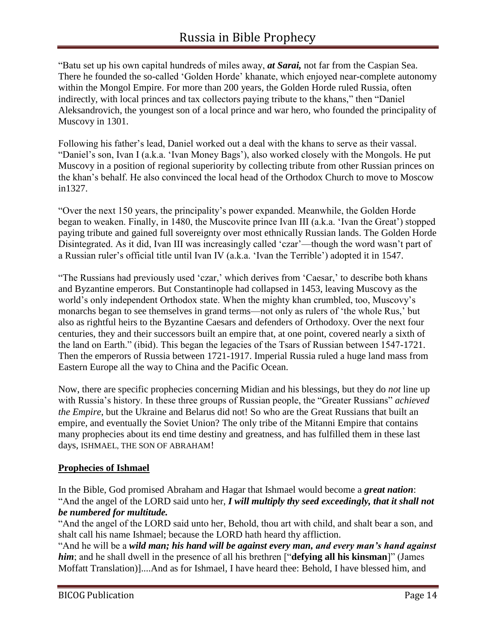"Batu set up his own capital hundreds of miles away, *at Sarai,* not far from the Caspian Sea. There he founded the so-called 'Golden Horde' khanate, which enjoyed near-complete autonomy within the Mongol Empire. For more than 200 years, the Golden Horde ruled Russia, often indirectly, with local princes and tax collectors paying tribute to the khans," then "Daniel Aleksandrovich, the youngest son of a local prince and war hero, who founded the principality of Muscovy in 1301.

Following his father's lead, Daniel worked out a deal with the khans to serve as their vassal. "Daniel's son, Ivan I (a.k.a. 'Ivan Money Bags'), also worked closely with the Mongols. He put Muscovy in a position of regional superiority by collecting tribute from other Russian princes on the khan's behalf. He also convinced the local head of the Orthodox Church to move to Moscow in1327.

"Over the next 150 years, the principality's power expanded. Meanwhile, the Golden Horde began to weaken. Finally, in 1480, the Muscovite prince Ivan III (a.k.a. 'Ivan the Great') stopped paying tribute and gained full sovereignty over most ethnically Russian lands. The Golden Horde Disintegrated. As it did, Ivan III was increasingly called 'czar'—though the word wasn't part of a Russian ruler's official title until Ivan IV (a.k.a. 'Ivan the Terrible') adopted it in 1547.

"The Russians had previously used 'czar,' which derives from 'Caesar,' to describe both khans and Byzantine emperors. But Constantinople had collapsed in 1453, leaving Muscovy as the world's only independent Orthodox state. When the mighty khan crumbled, too, Muscovy's monarchs began to see themselves in grand terms—not only as rulers of 'the whole Rus,' but also as rightful heirs to the Byzantine Caesars and defenders of Orthodoxy. Over the next four centuries, they and their successors built an empire that, at one point, covered nearly a sixth of the land on Earth." (ibid). This began the legacies of the Tsars of Russian between 1547-1721. Then the emperors of Russia between 1721-1917. Imperial Russia ruled a huge land mass from Eastern Europe all the way to China and the Pacific Ocean.

Now, there are specific prophecies concerning Midian and his blessings, but they do *not* line up with Russia's history. In these three groups of Russian people, the "Greater Russians" *achieved the Empire*, but the Ukraine and Belarus did not! So who are the Great Russians that built an empire, and eventually the Soviet Union? The only tribe of the Mitanni Empire that contains many prophecies about its end time destiny and greatness, and has fulfilled them in these last days, ISHMAEL, THE SON OF ABRAHAM!

#### **Prophecies of Ishmael**

In the Bible, God promised Abraham and Hagar that Ishmael would become a *great nation*: "And the angel of the LORD said unto her, *I will multiply thy seed exceedingly, that it shall not be numbered for multitude.*

"And the angel of the LORD said unto her, Behold, thou art with child, and shalt bear a son, and shalt call his name Ishmael; because the LORD hath heard thy affliction.

"And he will be a *wild man; his hand will be against every man, and every man's hand against him*; and he shall dwell in the presence of all his brethren ["**defying all his kinsman**]" (James Moffatt Translation)]....And as for Ishmael, I have heard thee: Behold, I have blessed him, and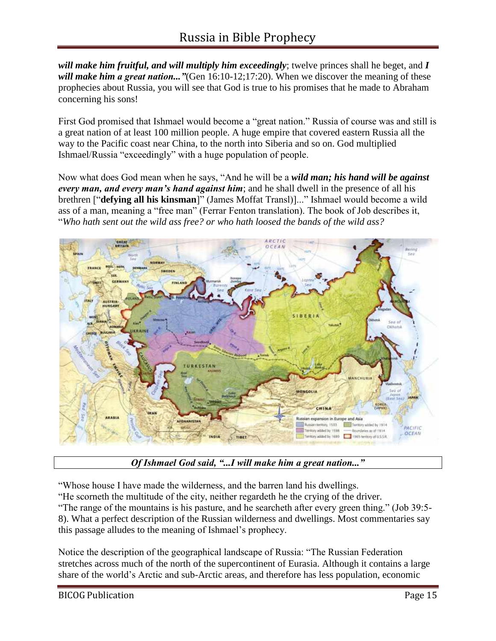*will make him fruitful, and will multiply him exceedingly*; twelve princes shall he beget, and *I will make him a great nation..."*(Gen 16:10-12;17:20). When we discover the meaning of these prophecies about Russia, you will see that God is true to his promises that he made to Abraham concerning his sons!

First God promised that Ishmael would become a "great nation." Russia of course was and still is a great nation of at least 100 million people. A huge empire that covered eastern Russia all the way to the Pacific coast near China, to the north into Siberia and so on. God multiplied Ishmael/Russia "exceedingly" with a huge population of people.

Now what does God mean when he says, "And he will be a *wild man; his hand will be against every man, and every man's hand against him*; and he shall dwell in the presence of all his brethren ["**defying all his kinsman**]" (James Moffat Transl)]..." Ishmael would become a wild ass of a man, meaning a "free man" (Ferrar Fenton translation). The book of Job describes it, "*Who hath sent out the wild ass free? or who hath loosed the bands of the wild ass?*



*Of Ishmael God said, "...I will make him a great nation..."*

"Whose house I have made the wilderness, and the barren land his dwellings.

"He scorneth the multitude of the city, neither regardeth he the crying of the driver.

"The range of the mountains is his pasture, and he searcheth after every green thing." (Job 39:5- 8). What a perfect description of the Russian wilderness and dwellings. Most commentaries say this passage alludes to the meaning of Ishmael's prophecy.

Notice the description of the geographical landscape of Russia: "The Russian Federation stretches across much of the north of the supercontinent of Eurasia. Although it contains a large share of the world's Arctic and sub-Arctic areas, and therefore has less population, economic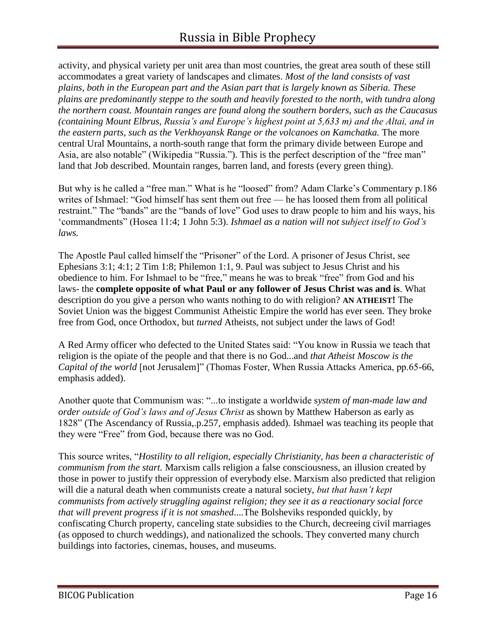activity, and physical variety per unit area than most countries, the great area south of these still accommodates a great variety of landscapes and climates. *Most of the land consists of vast plains, both in the European part and the Asian part that is largely known as Siberia. These plains are predominantly steppe to the south and heavily forested to the north, with tundra along the northern coast. Mountain ranges are found along the southern borders, such as the Caucasus (containing Mount Elbrus, Russia's and Europe's highest point at 5,633 m) and the Altai, and in the eastern parts, such as the Verkhoyansk Range or the volcanoes on Kamchatka.* The more central Ural Mountains, a north-south range that form the primary divide between Europe and Asia, are also notable" (Wikipedia "Russia."). This is the perfect description of the "free man" land that Job described. Mountain ranges, barren land, and forests (every green thing).

But why is he called a "free man." What is he "loosed" from? Adam Clarke's Commentary p.186 writes of Ishmael: "God himself has sent them out free — he has loosed them from all political restraint." The "bands" are the "bands of love" God uses to draw people to him and his ways, his 'commandments" (Hosea 11:4; 1 John 5:3). *Ishmael as a nation will not subject itself to God's laws.*

The Apostle Paul called himself the "Prisoner" of the Lord. A prisoner of Jesus Christ, see Ephesians 3:1; 4:1; 2 Tim 1:8; Philemon 1:1, 9. Paul was subject to Jesus Christ and his obedience to him. For Ishmael to be "free," means he was to break "free" from God and his laws- the **complete opposite of what Paul or any follower of Jesus Christ was and is**. What description do you give a person who wants nothing to do with religion? **AN ATHEIST!** The Soviet Union was the biggest Communist Atheistic Empire the world has ever seen. They broke free from God, once Orthodox, but *turned* Atheists, not subject under the laws of God!

A Red Army officer who defected to the United States said: "You know in Russia we teach that religion is the opiate of the people and that there is no God...and *that Atheist Moscow is the Capital of the world* [not Jerusalem]" (Thomas Foster, When Russia Attacks America, pp.65-66, emphasis added).

Another quote that Communism was: "...to instigate a worldwide s*ystem of man-made law and order outside of God's laws and of Jesus Christ* as shown by Matthew Haberson as early as 1828" (The Ascendancy of Russia,.p.257, emphasis added). Ishmael was teaching its people that they were "Free" from God, because there was no God.

This source writes, "*Hostility to all religion, especially Christianity, has been a characteristic of communism from the start.* Marxism calls religion a false consciousness, an illusion created by those in power to justify their oppression of everybody else. Marxism also predicted that religion will die a natural death when communists create a natural society, *but that hasn't kept communists from actively struggling against religion; they see it as a reactionary social force that will prevent progress if it is not smashed*....The Bolsheviks responded quickly, by confiscating Church property, canceling state subsidies to the Church, decreeing civil marriages (as opposed to church weddings), and nationalized the schools. They converted many church buildings into factories, cinemas, houses, and museums.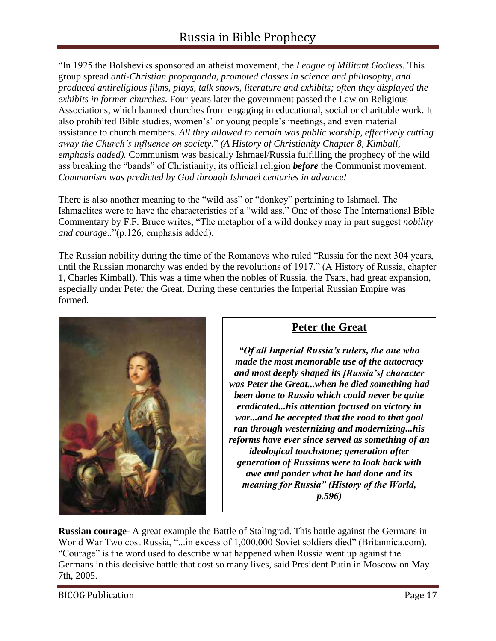"In 1925 the Bolsheviks sponsored an atheist movement, the *League of Militant Godless.* This group spread *anti-Christian propaganda, promoted classes in science and philosophy, and produced antireligious films, plays, talk shows, literature and exhibits; often they displayed the exhibits in former churches*. Four years later the government passed the Law on Religious Associations, which banned churches from engaging in educational, social or charitable work. It also prohibited Bible studies, women's' or young people's meetings, and even material assistance to church members. *All they allowed to remain was public worship, effectively cutting away the Church's influence on society*." *(A History of Christianity Chapter 8, Kimball, emphasis added).* Communism was basically Ishmael/Russia fulfilling the prophecy of the wild ass breaking the "bands" of Christianity, its official religion *before* the Communist movement. *Communism was predicted by God through Ishmael centuries in advance!*

There is also another meaning to the "wild ass" or "donkey" pertaining to Ishmael. The Ishmaelites were to have the characteristics of a "wild ass." One of those The International Bible Commentary by F.F. Bruce writes, "The metaphor of a wild donkey may in part suggest *nobility and courage*.."(p.126, emphasis added).

The Russian nobility during the time of the Romanovs who ruled "Russia for the next 304 years, until the Russian monarchy was ended by the revolutions of 1917." (A History of Russia, chapter 1, Charles Kimball). This was a time when the nobles of Russia, the Tsars, had great expansion, especially under Peter the Great. During these centuries the Imperial Russian Empire was formed.



#### **Peter the Great**

*"Of all Imperial Russia's rulers, the one who made the most memorable use of the autocracy and most deeply shaped its [Russia's] character was Peter the Great...when he died something had been done to Russia which could never be quite eradicated...his attention focused on victory in war...and he accepted that the road to that goal ran through westernizing and modernizing...his reforms have ever since served as something of an ideological touchstone; generation after generation of Russians were to look back with awe and ponder what he had done and its meaning for Russia" (History of the World, p.596)*

**Russian courage**- A great example the Battle of Stalingrad. This battle against the Germans in World War Two cost Russia, "...in excess of 1,000,000 Soviet soldiers died" (Britannica.com). "Courage" is the word used to describe what happened when Russia went up against the Germans in this decisive battle that cost so many lives, said President Putin in Moscow on May 7th, 2005.

BICOG Publication **Page 17**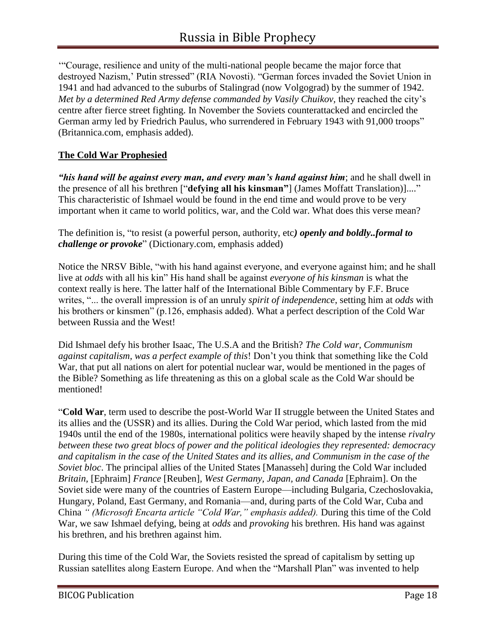'"Courage, resilience and unity of the multi-national people became the major force that destroyed Nazism,' Putin stressed" (RIA Novosti). "German forces invaded the Soviet Union in 1941 and had advanced to the suburbs of Stalingrad (now Volgograd) by the summer of 1942. *Met by a determined Red Army defense commanded by Vasily Chuikov,* they reached the city's centre after fierce street fighting. In November the Soviets counterattacked and encircled the German army led by Friedrich Paulus, who surrendered in February 1943 with 91,000 troops" (Britannica.com, emphasis added).

#### **The Cold War Prophesied**

*"his hand will be against every man, and every man's hand against him*; and he shall dwell in the presence of all his brethren ["**defying all his kinsman"**] (James Moffatt Translation)]...." This characteristic of Ishmael would be found in the end time and would prove to be very important when it came to world politics, war, and the Cold war. What does this verse mean?

The definition is, "to resist (a powerful person, authority, etc*) openly and boldly..formal to challenge or provoke*" (Dictionary.com, emphasis added)

Notice the NRSV Bible, "with his hand against everyone, and everyone against him; and he shall live at *odds* with all his kin" His hand shall be against *everyone of his kinsman* is what the context really is here. The latter half of the International Bible Commentary by F.F. Bruce writes, "... the overall impression is of an unruly *spirit of independence*, setting him at *odds* with his brothers or kinsmen" (p.126, emphasis added). What a perfect description of the Cold War between Russia and the West!

Did Ishmael defy his brother Isaac, The U.S.A and the British? *The Cold war, Communism against capitalism, was a perfect example of this*! Don't you think that something like the Cold War, that put all nations on alert for potential nuclear war, would be mentioned in the pages of the Bible? Something as life threatening as this on a global scale as the Cold War should be mentioned!

"**Cold War**, term used to describe the post-World War II struggle between the United States and its allies and the (USSR) and its allies. During the Cold War period, which lasted from the mid 1940s until the end of the 1980s, international politics were heavily shaped by the intense *rivalry between these two great blocs of power and the political ideologies they represented: democracy and capitalism in the case of the United States and its allies, and Communism in the case of the Soviet bloc*. The principal allies of the United States [Manasseh] during the Cold War included *Britain,* [Ephraim] *France* [Reuben]*, West Germany, Japan, and Canada* [Ephraim]. On the Soviet side were many of the countries of Eastern Europe—including Bulgaria, Czechoslovakia, Hungary, Poland, East Germany, and Romania—and, during parts of the Cold War, Cuba and China *" (Microsoft Encarta article "Cold War," emphasis added).* During this time of the Cold War, we saw Ishmael defying, being at *odds* and *provoking* his brethren. His hand was against his brethren, and his brethren against him.

During this time of the Cold War, the Soviets resisted the spread of capitalism by setting up Russian satellites along Eastern Europe. And when the "Marshall Plan" was invented to help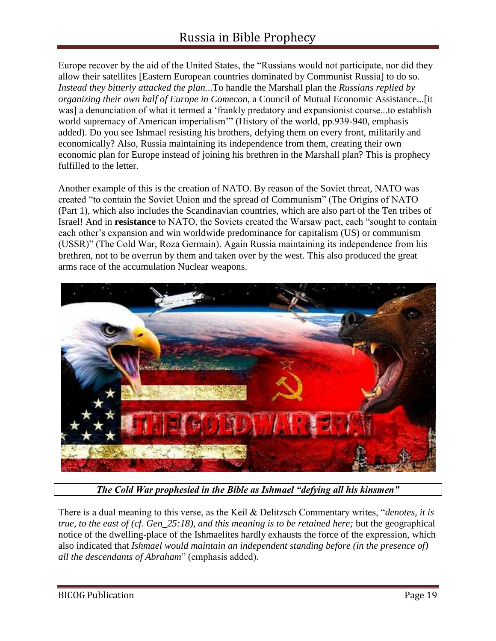Europe recover by the aid of the United States, the "Russians would not participate, nor did they allow their satellites [Eastern European countries dominated by Communist Russia] to do so. *Instead they bitterly attacked the plan.*..To handle the Marshall plan the *Russians replied by organizing their own half of Europe in Comecon,* a Council of Mutual Economic Assistance...[it was] a denunciation of what it termed a 'frankly predatory and expansionist course...to establish world supremacy of American imperialism" (History of the world, pp.939-940, emphasis added). Do you see Ishmael resisting his brothers, defying them on every front, militarily and economically? Also, Russia maintaining its independence from them, creating their own economic plan for Europe instead of joining his brethren in the Marshall plan? This is prophecy fulfilled to the letter.

Another example of this is the creation of NATO. By reason of the Soviet threat, NATO was created "to contain the Soviet Union and the spread of Communism" (The Origins of NATO (Part 1), which also includes the Scandinavian countries, which are also part of the Ten tribes of Israel! And in **resistance** to NATO, the Soviets created the Warsaw pact, each "sought to contain each other's expansion and win worldwide predominance for capitalism (US) or communism (USSR)" (The Cold War, Roza Germain). Again Russia maintaining its independence from his brethren, not to be overrun by them and taken over by the west. This also produced the great arms race of the accumulation Nuclear weapons.



*The Cold War prophesied in the Bible as Ishmael "defying all his kinsmen"*

There is a dual meaning to this verse, as the Keil & Delitzsch Commentary writes, "*denotes, it is true, to the east of (cf. Gen\_25:18), and this meaning is to be retained here;* but the geographical notice of the dwelling-place of the Ishmaelites hardly exhausts the force of the expression, which also indicated that *Ishmael would maintain an independent standing before (in the presence of) all the descendants of Abraham*" (emphasis added).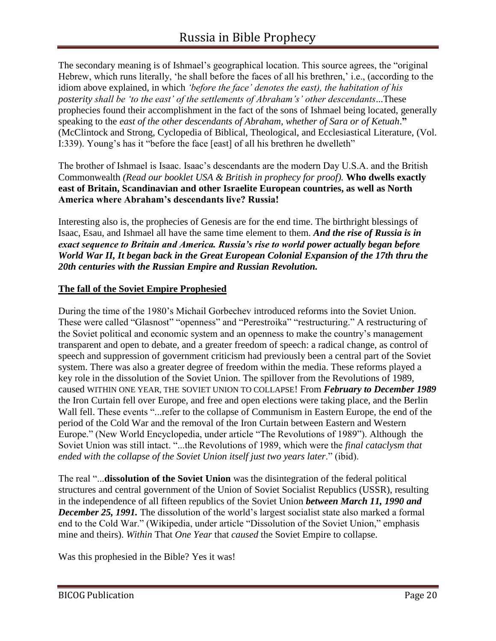The secondary meaning is of Ishmael's geographical location. This source agrees, the "original Hebrew, which runs literally, 'he shall before the faces of all his brethren,' i.e., (according to the idiom above explained, in which *'before the face' denotes the east), the habitation of his posterity shall be 'to the east' of the settlements of Abraham's' other descendants*...These prophecies found their accomplishment in the fact of the sons of Ishmael being located, generally speaking to the *east of the other descendants of Abraham, whether of Sara or of Ketuah*.**"**  (McClintock and Strong, Cyclopedia of Biblical, Theological, and Ecclesiastical Literature, (Vol. I:339). Young's has it "before the face [east] of all his brethren he dwelleth"

The brother of Ishmael is Isaac. Isaac's descendants are the modern Day U.S.A. and the British Commonwealth *(Read our booklet USA & British in prophecy for proof).* **Who dwells exactly east of Britain, Scandinavian and other Israelite European countries, as well as North America where Abraham's descendants live? Russia!**

Interesting also is, the prophecies of Genesis are for the end time. The birthright blessings of Isaac, Esau, and Ishmael all have the same time element to them. *And the rise of Russia is in exact sequence to Britain and America. Russia's rise to world power actually began before World War II, It began back in the Great European Colonial Expansion of the 17th thru the 20th centuries with the Russian Empire and Russian Revolution.*

#### **The fall of the Soviet Empire Prophesied**

During the time of the 1980's Michail Gorbechev introduced reforms into the Soviet Union. These were called "Glasnost" "openness" and "Perestroika" "restructuring." A restructuring of the Soviet political and economic system and an openness to make the country's management transparent and open to debate, and a greater freedom of speech: a radical change, as control of speech and suppression of government criticism had previously been a central part of the Soviet system. There was also a greater degree of freedom within the media. These reforms played a key role in the dissolution of the Soviet Union. The spillover from the Revolutions of 1989, caused WITHIN ONE YEAR, THE SOVIET UNION TO COLLAPSE! From *February to December 1989* the Iron Curtain fell over Europe, and free and open elections were taking place, and the Berlin Wall fell. These events "...refer to the collapse of Communism in Eastern Europe, the end of the period of the Cold War and the removal of the Iron Curtain between Eastern and Western Europe." (New World Encyclopedia, under article "The Revolutions of 1989"). Although the Soviet Union was still intact. "...the Revolutions of 1989, which were the *final cataclysm that ended with the collapse of the Soviet Union itself just two years later*." (ibid).

The real "...**dissolution of the Soviet Union** was the disintegration of the federal political structures and central government of the Union of Soviet Socialist Republics (USSR), resulting in the independence of all fifteen republics of the Soviet Union *between March 11, 1990 and December 25, 1991.* The dissolution of the world's largest socialist state also marked a formal end to the Cold War." (Wikipedia, under article "Dissolution of the Soviet Union," emphasis mine and theirs). *Within* That *One Year* that *caused* the Soviet Empire to collapse.

Was this prophesied in the Bible? Yes it was!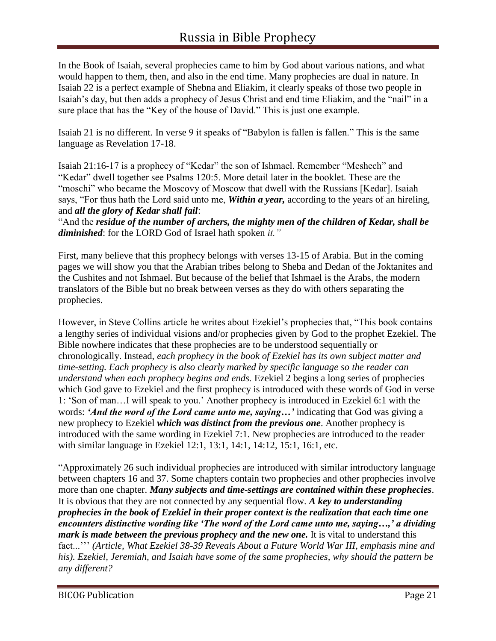In the Book of Isaiah, several prophecies came to him by God about various nations, and what would happen to them, then, and also in the end time. Many prophecies are dual in nature. In Isaiah 22 is a perfect example of Shebna and Eliakim, it clearly speaks of those two people in Isaiah's day, but then adds a prophecy of Jesus Christ and end time Eliakim, and the "nail" in a sure place that has the "Key of the house of David." This is just one example.

Isaiah 21 is no different. In verse 9 it speaks of "Babylon is fallen is fallen." This is the same language as Revelation 17-18.

Isaiah 21:16-17 is a prophecy of "Kedar" the son of Ishmael. Remember "Meshech" and "Kedar" dwell together see Psalms 120:5. More detail later in the booklet. These are the "moschi" who became the Moscovy of Moscow that dwell with the Russians [Kedar]. Isaiah says, "For thus hath the Lord said unto me, *Within a year,* according to the years of an hireling, and *all the glory of Kedar shall fail*:

"And the *residue of the number of archers, the mighty men of the children of Kedar, shall be diminished*: for the LORD God of Israel hath spoken *it."* 

First, many believe that this prophecy belongs with verses 13-15 of Arabia. But in the coming pages we will show you that the Arabian tribes belong to Sheba and Dedan of the Joktanites and the Cushites and not Ishmael. But because of the belief that Ishmael is the Arabs, the modern translators of the Bible but no break between verses as they do with others separating the prophecies.

However, in Steve Collins article he writes about Ezekiel's prophecies that, "This book contains a lengthy series of individual visions and/or prophecies given by God to the prophet Ezekiel. The Bible nowhere indicates that these prophecies are to be understood sequentially or chronologically. Instead, *each prophecy in the book of Ezekiel has its own subject matter and time-setting. Each prophecy is also clearly marked by specific language so the reader can understand when each prophecy begins and ends.* Ezekiel 2 begins a long series of prophecies which God gave to Ezekiel and the first prophecy is introduced with these words of God in verse 1: 'Son of man…I will speak to you.' Another prophecy is introduced in Ezekiel 6:1 with the words: *'And the word of the Lord came unto me, saying…'* indicating that God was giving a new prophecy to Ezekiel *which was distinct from the previous one*. Another prophecy is introduced with the same wording in Ezekiel 7:1. New prophecies are introduced to the reader with similar language in Ezekiel 12:1, 13:1, 14:1, 14:12, 15:1, 16:1, etc.

"Approximately 26 such individual prophecies are introduced with similar introductory language between chapters 16 and 37. Some chapters contain two prophecies and other prophecies involve more than one chapter. *Many subjects and time-settings are contained within these prophecies*. It is obvious that they are not connected by any sequential flow. *A key to understanding prophecies in the book of Ezekiel in their proper context is the realization that each time one encounters distinctive wording like 'The word of the Lord came unto me, saying…,' a dividing mark is made between the previous prophecy and the new one.* It is vital to understand this fact...''' *(Article, What Ezekiel 38-39 Reveals About a Future World War III, emphasis mine and his). Ezekiel, Jeremiah, and Isaiah have some of the same prophecies, why should the pattern be any different?*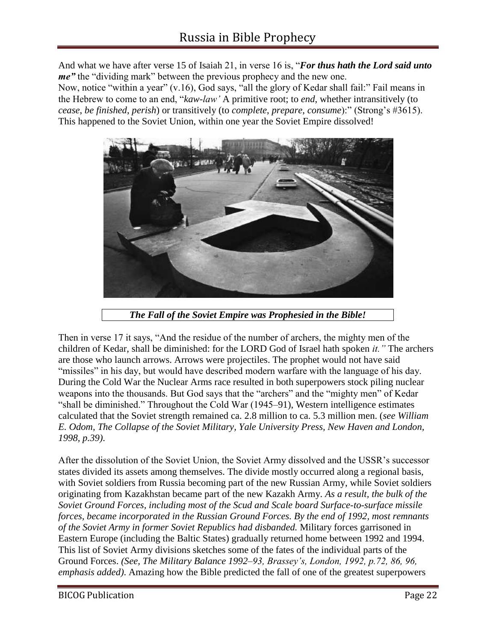And what we have after verse 15 of Isaiah 21, in verse 16 is, "*For thus hath the Lord said unto me*" the "dividing mark" between the previous prophecy and the new one.

Now, notice "within a year" (v.16), God says, "all the glory of Kedar shall fail:" Fail means in the Hebrew to come to an end, "*kaw-law'* A primitive root; to *end*, whether intransitively (to *cease*, *be finished*, *perish*) or transitively (to *complete*, *prepare*, *consume*):" (Strong's #3615). This happened to the Soviet Union, within one year the Soviet Empire dissolved!



*The Fall of the Soviet Empire was Prophesied in the Bible!*

Then in verse 17 it says, "And the residue of the number of archers, the mighty men of the children of Kedar, shall be diminished: for the LORD God of Israel hath spoken *it."* The archers are those who launch arrows. Arrows were projectiles. The prophet would not have said "missiles" in his day, but would have described modern warfare with the language of his day. During the Cold War the Nuclear Arms race resulted in both superpowers stock piling nuclear weapons into the thousands. But God says that the "archers" and the "mighty men" of Kedar "shall be diminished." Throughout the Cold War (1945–91), Western intelligence estimates calculated that the Soviet strength remained ca. 2.8 million to ca. 5.3 million men. (*see William E. Odom, The Collapse of the Soviet Military, Yale University Press, New Haven and London, 1998, p.39)*.

After the dissolution of the Soviet Union, the Soviet Army dissolved and the USSR's successor states divided its assets among themselves. The divide mostly occurred along a regional basis, with Soviet soldiers from Russia becoming part of the new Russian Army, while Soviet soldiers originating from Kazakhstan became part of the new Kazakh Army. *As a result, the bulk of the Soviet Ground Forces, including most of the Scud and Scale board Surface-to-surface missile forces, became incorporated in the Russian Ground Forces. By the end of 1992, most remnants of the Soviet Army in former Soviet Republics had disbanded.* Military forces garrisoned in Eastern Europe (including the Baltic States) gradually returned home between 1992 and 1994. This list of Soviet Army divisions sketches some of the fates of the individual parts of the Ground Forces. *(See, The Military Balance 1992–93, Brassey's, London, 1992, p.72, 86, 96, emphasis added)*. Amazing how the Bible predicted the fall of one of the greatest superpowers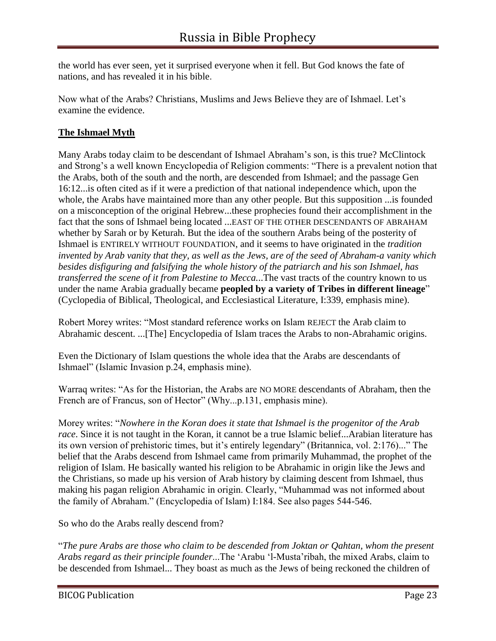the world has ever seen, yet it surprised everyone when it fell. But God knows the fate of nations, and has revealed it in his bible.

Now what of the Arabs? Christians, Muslims and Jews Believe they are of Ishmael. Let's examine the evidence.

#### **The Ishmael Myth**

Many Arabs today claim to be descendant of Ishmael Abraham's son, is this true? McClintock and Strong's a well known Encyclopedia of Religion comments: "There is a prevalent notion that the Arabs, both of the south and the north, are descended from Ishmael; and the passage Gen 16:12...is often cited as if it were a prediction of that national independence which, upon the whole, the Arabs have maintained more than any other people. But this supposition ...is founded on a misconception of the original Hebrew...these prophecies found their accomplishment in the fact that the sons of Ishmael being located ...EAST OF THE OTHER DESCENDANTS OF ABRAHAM whether by Sarah or by Keturah. But the idea of the southern Arabs being of the posterity of Ishmael is ENTIRELY WITHOUT FOUNDATION, and it seems to have originated in the *tradition invented by Arab vanity that they, as well as the Jews, are of the seed of Abraham-a vanity which besides disfiguring and falsifying the whole history of the patriarch and his son Ishmael, has transferred the scene of it from Palestine to Mecca.*..The vast tracts of the country known to us under the name Arabia gradually became **peopled by a variety of Tribes in different lineage**" (Cyclopedia of Biblical, Theological, and Ecclesiastical Literature, I:339, emphasis mine).

Robert Morey writes: "Most standard reference works on Islam REJECT the Arab claim to Abrahamic descent. ...[The] Encyclopedia of Islam traces the Arabs to non-Abrahamic origins.

Even the Dictionary of Islam questions the whole idea that the Arabs are descendants of Ishmael" (Islamic Invasion p.24, emphasis mine).

Warraq writes: "As for the Historian, the Arabs are NO MORE descendants of Abraham, then the French are of Francus, son of Hector" (Why...p.131, emphasis mine).

Morey writes: "*Nowhere in the Koran does it state that Ishmael is the progenitor of the Arab race*. Since it is not taught in the Koran, it cannot be a true Islamic belief...Arabian literature has its own version of prehistoric times, but it's entirely legendary" (Britannica, vol. 2:176)..." The belief that the Arabs descend from Ishmael came from primarily Muhammad, the prophet of the religion of Islam. He basically wanted his religion to be Abrahamic in origin like the Jews and the Christians, so made up his version of Arab history by claiming descent from Ishmael, thus making his pagan religion Abrahamic in origin. Clearly, "Muhammad was not informed about the family of Abraham." (Encyclopedia of Islam) I:184. See also pages 544-546.

So who do the Arabs really descend from?

"*The pure Arabs are those who claim to be descended from Joktan or Qahtan, whom the present Arabs regard as their principle founder*...The 'Arabu 'l-Musta'ribah, the mixed Arabs, claim to be descended from Ishmael... They boast as much as the Jews of being reckoned the children of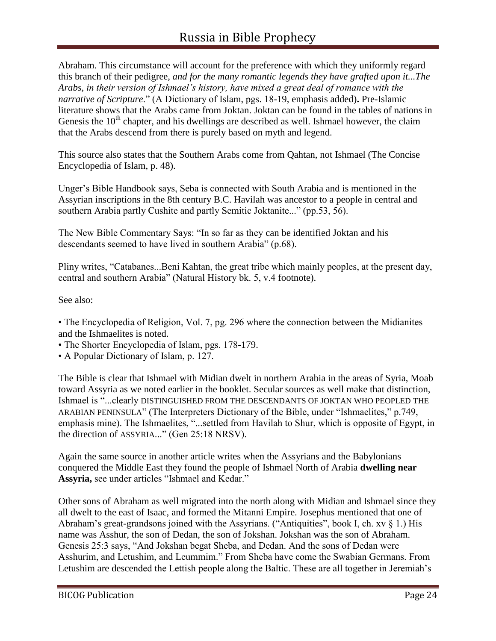Abraham. This circumstance will account for the preference with which they uniformly regard this branch of their pedigree, *and for the many romantic legends they have grafted upon it...The Arabs, in their version of Ishmael's history, have mixed a great deal of romance with the narrative of Scripture*." (A Dictionary of Islam, pgs. 18-19, emphasis added)**.** Pre-Islamic literature shows that the Arabs came from Joktan. Joktan can be found in the tables of nations in Genesis the  $10<sup>th</sup>$  chapter, and his dwellings are described as well. Ishmael however, the claim that the Arabs descend from there is purely based on myth and legend.

This source also states that the Southern Arabs come from Qahtan, not Ishmael (The Concise Encyclopedia of Islam, p. 48).

Unger's Bible Handbook says, Seba is connected with South Arabia and is mentioned in the Assyrian inscriptions in the 8th century B.C. Havilah was ancestor to a people in central and southern Arabia partly Cushite and partly Semitic Joktanite..." (pp.53, 56).

The New Bible Commentary Says: "In so far as they can be identified Joktan and his descendants seemed to have lived in southern Arabia" (p.68).

Pliny writes, "Catabanes...Beni Kahtan, the great tribe which mainly peoples, at the present day, central and southern Arabia" (Natural History bk. 5, v.4 footnote).

See also:

• The Encyclopedia of Religion, Vol. 7, pg. 296 where the connection between the Midianites and the Ishmaelites is noted.

• The Shorter Encyclopedia of Islam, pgs. 178-179.

• A Popular Dictionary of Islam, p. 127.

The Bible is clear that Ishmael with Midian dwelt in northern Arabia in the areas of Syria, Moab toward Assyria as we noted earlier in the booklet. Secular sources as well make that distinction, Ishmael is "...clearly DISTINGUISHED FROM THE DESCENDANTS OF JOKTAN WHO PEOPLED THE ARABIAN PENINSULA" (The Interpreters Dictionary of the Bible, under "Ishmaelites," p.749, emphasis mine). The Ishmaelites, "...settled from Havilah to Shur, which is opposite of Egypt, in the direction of ASSYRIA..." (Gen 25:18 NRSV).

Again the same source in another article writes when the Assyrians and the Babylonians conquered the Middle East they found the people of Ishmael North of Arabia **dwelling near Assyria,** see under articles "Ishmael and Kedar."

Other sons of Abraham as well migrated into the north along with Midian and Ishmael since they all dwelt to the east of Isaac, and formed the Mitanni Empire. Josephus mentioned that one of Abraham's great-grandsons joined with the Assyrians. ("Antiquities", book I, ch. xv  $\S$  1.) His name was Asshur, the son of Dedan, the son of Jokshan. Jokshan was the son of Abraham. Genesis 25:3 says, "And Jokshan begat Sheba, and Dedan. And the sons of Dedan were Asshurim, and Letushim, and Leummim." From Sheba have come the Swabian Germans. From Letushim are descended the Lettish people along the Baltic. These are all together in Jeremiah's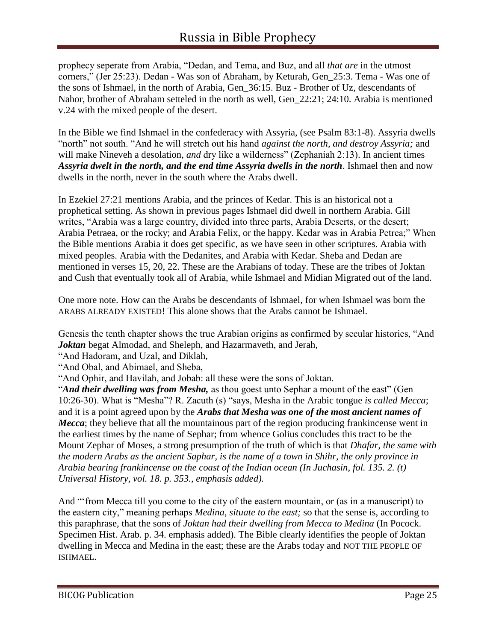prophecy seperate from Arabia, "Dedan, and Tema, and Buz, and all *that are* in the utmost corners," (Jer 25:23). Dedan - Was son of Abraham, by Keturah, Gen\_25:3. Tema - Was one of the sons of Ishmael, in the north of Arabia, Gen\_36:15. Buz - Brother of Uz, descendants of Nahor, brother of Abraham setteled in the north as well, Gen\_22:21; 24:10. Arabia is mentioned v.24 with the mixed people of the desert.

In the Bible we find Ishmael in the confederacy with Assyria, (see Psalm 83:1-8). Assyria dwells "north" not south. "And he will stretch out his hand *against the north, and destroy Assyria;* and will make Nineveh a desolation, *and* dry like a wilderness" (Zephaniah 2:13). In ancient times *Assyria dwelt in the north, and the end time Assyria dwells in the north*. Ishmael then and now dwells in the north, never in the south where the Arabs dwell.

In Ezekiel 27:21 mentions Arabia, and the princes of Kedar. This is an historical not a prophetical setting. As shown in previous pages Ishmael did dwell in northern Arabia. Gill writes, "Arabia was a large country, divided into three parts, Arabia Deserts, or the desert; Arabia Petraea, or the rocky; and Arabia Felix, or the happy. Kedar was in Arabia Petrea;" When the Bible mentions Arabia it does get specific, as we have seen in other scriptures. Arabia with mixed peoples. Arabia with the Dedanites, and Arabia with Kedar. Sheba and Dedan are mentioned in verses 15, 20, 22. These are the Arabians of today. These are the tribes of Joktan and Cush that eventually took all of Arabia, while Ishmael and Midian Migrated out of the land.

One more note. How can the Arabs be descendants of Ishmael, for when Ishmael was born the ARABS ALREADY EXISTED! This alone shows that the Arabs cannot be Ishmael.

Genesis the tenth chapter shows the true Arabian origins as confirmed by secular histories, "And *Joktan* begat Almodad, and Sheleph, and Hazarmaveth, and Jerah,

"And Hadoram, and Uzal, and Diklah,

"And Obal, and Abimael, and Sheba,

"And Ophir, and Havilah, and Jobab: all these were the sons of Joktan.

"*And their dwelling was from Mesha,* as thou goest unto Sephar a mount of the east" (Gen 10:26-30). What is "Mesha"? R. Zacuth (s) "says, Mesha in the Arabic tongue *is called Mecca*; and it is a point agreed upon by the *Arabs that Mesha was one of the most ancient names of Mecca*; they believe that all the mountainous part of the region producing frankincense went in the earliest times by the name of Sephar; from whence Golius concludes this tract to be the Mount Zephar of Moses, a strong presumption of the truth of which is that *Dhafar, the same with the modern Arabs as the ancient Saphar, is the name of a town in Shihr, the only province in Arabia bearing frankincense on the coast of the Indian ocean (In Juchasin, fol. 135. 2. (t) Universal History, vol. 18. p. 353., emphasis added).*

And "'from Mecca till you come to the city of the eastern mountain, or (as in a manuscript) to the eastern city," meaning perhaps *Medina, situate to the east;* so that the sense is, according to this paraphrase, that the sons of *Joktan had their dwelling from Mecca to Medina* (In Pocock. Specimen Hist. Arab. p. 34. emphasis added). The Bible clearly identifies the people of Joktan dwelling in Mecca and Medina in the east; these are the Arabs today and NOT THE PEOPLE OF ISHMAEL.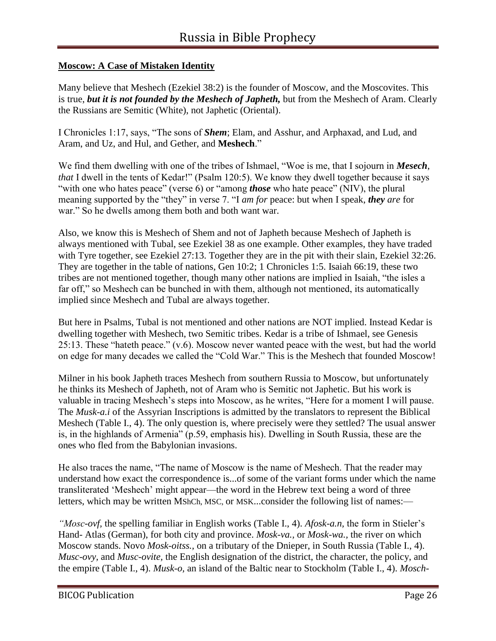#### **Moscow: A Case of Mistaken Identity**

Many believe that Meshech (Ezekiel 38:2) is the founder of Moscow, and the Moscovites. This is true, *but it is not founded by the Meshech of Japheth,* but from the Meshech of Aram. Clearly the Russians are Semitic (White), not Japhetic (Oriental).

I Chronicles 1:17, says, "The sons of *Shem*; Elam, and Asshur, and Arphaxad, and Lud, and Aram, and Uz, and Hul, and Gether, and **Meshech**."

We find them dwelling with one of the tribes of Ishmael, "Woe is me, that I sojourn in *Mesech*, *that* I dwell in the tents of Kedar!" (Psalm 120:5). We know they dwell together because it says "with one who hates peace" (verse 6) or "among *those* who hate peace" (NIV), the plural meaning supported by the "they" in verse 7. "I *am for* peace: but when I speak, *they are* for war." So he dwells among them both and both want war.

Also, we know this is Meshech of Shem and not of Japheth because Meshech of Japheth is always mentioned with Tubal, see Ezekiel 38 as one example. Other examples, they have traded with Tyre together, see Ezekiel 27:13. Together they are in the pit with their slain, Ezekiel 32:26. They are together in the table of nations, Gen 10:2; 1 Chronicles 1:5. Isaiah 66:19, these two tribes are not mentioned together, though many other nations are implied in Isaiah, "the isles a far off," so Meshech can be bunched in with them, although not mentioned, its automatically implied since Meshech and Tubal are always together.

But here in Psalms, Tubal is not mentioned and other nations are NOT implied. Instead Kedar is dwelling together with Meshech, two Semitic tribes. Kedar is a tribe of Ishmael, see Genesis 25:13. These "hateth peace." (v.6). Moscow never wanted peace with the west, but had the world on edge for many decades we called the "Cold War." This is the Meshech that founded Moscow!

Milner in his book Japheth traces Meshech from southern Russia to Moscow, but unfortunately he thinks its Meshech of Japheth, not of Aram who is Semitic not Japhetic. But his work is valuable in tracing Meshech's steps into Moscow, as he writes, "Here for a moment I will pause. The *Musk-a.i* of the Assyrian Inscriptions is admitted by the translators to represent the Biblical Meshech (Table I., 4). The only question is, where precisely were they settled? The usual answer is, in the highlands of Armenia" (p.59, emphasis his). Dwelling in South Russia, these are the ones who fled from the Babylonian invasions.

He also traces the name, "The name of Moscow is the name of Meshech. That the reader may understand how exact the correspondence is...of some of the variant forms under which the name transliterated 'Meshech' might appear—the word in the Hebrew text being a word of three letters, which may be written MShCh, MSC, or MSK...consider the following list of names:—

*"Mosc-ovf,* the spelling familiar in English works (Table I., 4). *Afosk-a.n,* the form in Stieler's Hand- Atlas (German), for both city and province. *Mosk-va.,* or *Mosk-wa.,* the river on which Moscow stands. Novo *Mosk-oitss.,* on a tributary of the Dnieper, in South Russia (Table I., 4). *Musc-ovy,* and *Musc-ovite,* the English designation of the district, the character, the policy, and the empire (Table I., 4). *Musk-o,* an island of the Baltic near to Stockholm (Table I., 4). *Mosch-*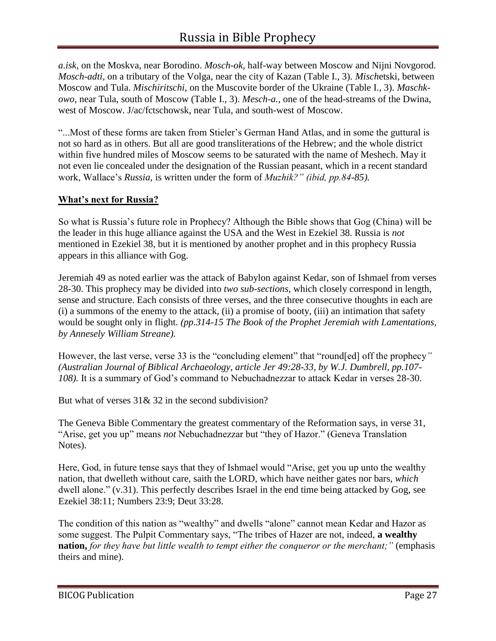*a.isk,* on the Moskva, near Borodino. *Mosch-ok,* half-way between Moscow and Nijni Novgorod. *Mosch-adti,* on a tributary of the Volga, near the city of Kazan (Table I., 3). *Misch*etski, between Moscow and Tula. *Mischiritschi,* on the Muscovite border of the Ukraine (Table I., 3). *Maschkowo,* near Tula, south of Moscow (Table I., 3). *Mesch-a.,* one of the head-streams of the Dwina, west of Moscow. J/ac/fctschowsk, near Tula, and south-west of Moscow.

"...Most of these forms are taken from Stieler's German Hand Atlas, and in some the guttural is not so hard as in others. But all are good transliterations of the Hebrew; and the whole district within five hundred miles of Moscow seems to be saturated with the name of Meshech. May it not even lie concealed under the designation of the Russian peasant, which in a recent standard work, Wallace's *Russia,* is written under the form of *Muzhik?" (ibid, pp.84-85).*

#### **What's next for Russia?**

So what is Russia's future role in Prophecy? Although the Bible shows that Gog (China) will be the leader in this huge alliance against the USA and the West in Ezekiel 38. Russia is *not* mentioned in Ezekiel 38, but it is mentioned by another prophet and in this prophecy Russia appears in this alliance with Gog.

Jeremiah 49 as noted earlier was the attack of Babylon against Kedar, son of Ishmael from verses 28-30. This prophecy may be divided into *two sub-sections*, which closely correspond in length, sense and structure. Each consists of three verses, and the three consecutive thoughts in each are (i) a summons of the enemy to the attack, (ii) a promise of booty, (iii) an intimation that safety would be sought only in flight*. (pp.314-15 The Book of the Prophet Jeremiah with Lamentations, by Annesely William Streane).*

However, the last verse, verse 33 is the "concluding element" that "round[ed] off the prophecy*" (Australian Journal of Biblical Archaeology, article Jer 49:28-33, by W.J. Dumbrell, pp.107- 108).* It is a summary of God's command to Nebuchadnezzar to attack Kedar in verses 28-30.

But what of verses 31& 32 in the second subdivision?

The Geneva Bible Commentary the greatest commentary of the Reformation says, in verse 31, "Arise, get you up" means *not* Nebuchadnezzar but "they of Hazor." (Geneva Translation Notes).

Here, God, in future tense says that they of Ishmael would "Arise, get you up unto the wealthy nation, that dwelleth without care, saith the LORD, which have neither gates nor bars, *which*  dwell alone." (v.31). This perfectly describes Israel in the end time being attacked by Gog, see Ezekiel 38:11; Numbers 23:9; Deut 33:28.

The condition of this nation as "wealthy" and dwells "alone" cannot mean Kedar and Hazor as some suggest. The Pulpit Commentary says, "The tribes of Hazer are not, indeed, **a wealthy nation,** *for they have but little wealth to tempt either the conqueror or the merchant;"* (emphasis theirs and mine).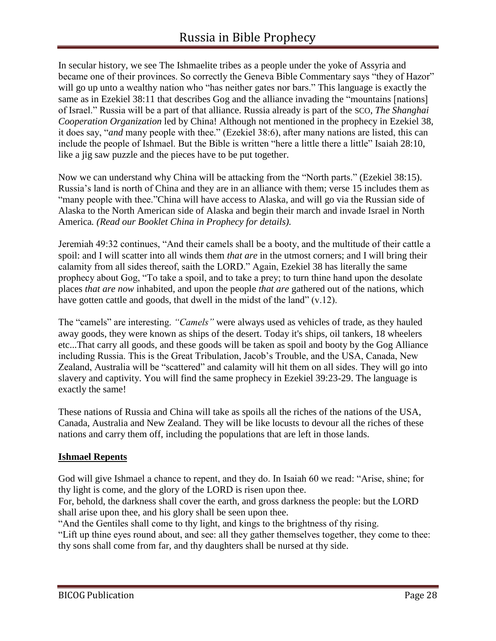In secular history, we see The Ishmaelite tribes as a people under the yoke of Assyria and became one of their provinces. So correctly the Geneva Bible Commentary says "they of Hazor" will go up unto a wealthy nation who "has neither gates nor bars." This language is exactly the same as in Ezekiel 38:11 that describes Gog and the alliance invading the "mountains [nations] of Israel." Russia will be a part of that alliance. Russia already is part of the SCO, *The Shanghai Cooperation Organization* led by China! Although not mentioned in the prophecy in Ezekiel 38, it does say, "*and* many people with thee." (Ezekiel 38:6), after many nations are listed, this can include the people of Ishmael. But the Bible is written "here a little there a little" Isaiah 28:10, like a jig saw puzzle and the pieces have to be put together.

Now we can understand why China will be attacking from the "North parts." (Ezekiel 38:15). Russia's land is north of China and they are in an alliance with them; verse 15 includes them as "many people with thee."China will have access to Alaska, and will go via the Russian side of Alaska to the North American side of Alaska and begin their march and invade Israel in North America*. (Read our Booklet China in Prophecy for details).*

Jeremiah 49:32 continues, "And their camels shall be a booty, and the multitude of their cattle a spoil: and I will scatter into all winds them *that are* in the utmost corners; and I will bring their calamity from all sides thereof, saith the LORD." Again, Ezekiel 38 has literally the same prophecy about Gog, "To take a spoil, and to take a prey; to turn thine hand upon the desolate places *that are now* inhabited, and upon the people *that are* gathered out of the nations, which have gotten cattle and goods, that dwell in the midst of the land"  $(v.12)$ .

The "camels" are interesting. *"Camels"* were always used as vehicles of trade, as they hauled away goods, they were known as ships of the desert. Today it's ships, oil tankers, 18 wheelers etc...That carry all goods, and these goods will be taken as spoil and booty by the Gog Alliance including Russia. This is the Great Tribulation, Jacob's Trouble, and the USA, Canada, New Zealand, Australia will be "scattered" and calamity will hit them on all sides. They will go into slavery and captivity. You will find the same prophecy in Ezekiel 39:23-29. The language is exactly the same!

These nations of Russia and China will take as spoils all the riches of the nations of the USA, Canada, Australia and New Zealand. They will be like locusts to devour all the riches of these nations and carry them off, including the populations that are left in those lands.

#### **Ishmael Repents**

God will give Ishmael a chance to repent, and they do. In Isaiah 60 we read: "Arise, shine; for thy light is come, and the glory of the LORD is risen upon thee.

For, behold, the darkness shall cover the earth, and gross darkness the people: but the LORD shall arise upon thee, and his glory shall be seen upon thee.

"And the Gentiles shall come to thy light, and kings to the brightness of thy rising.

"Lift up thine eyes round about, and see: all they gather themselves together, they come to thee: thy sons shall come from far, and thy daughters shall be nursed at thy side.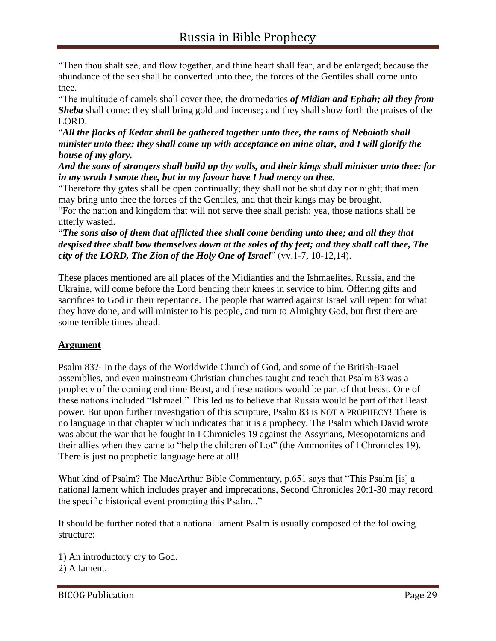"Then thou shalt see, and flow together, and thine heart shall fear, and be enlarged; because the abundance of the sea shall be converted unto thee, the forces of the Gentiles shall come unto thee.

"The multitude of camels shall cover thee, the dromedaries *of Midian and Ephah; all they from Sheba* shall come: they shall bring gold and incense; and they shall show forth the praises of the LORD.

"*All the flocks of Kedar shall be gathered together unto thee, the rams of Nebaioth shall minister unto thee: they shall come up with acceptance on mine altar, and I will glorify the house of my glory.*

*And the sons of strangers shall build up thy walls, and their kings shall minister unto thee: for in my wrath I smote thee, but in my favour have I had mercy on thee.*

"Therefore thy gates shall be open continually; they shall not be shut day nor night; that men may bring unto thee the forces of the Gentiles, and that their kings may be brought.

"For the nation and kingdom that will not serve thee shall perish; yea, those nations shall be utterly wasted.

"*The sons also of them that afflicted thee shall come bending unto thee; and all they that despised thee shall bow themselves down at the soles of thy feet; and they shall call thee, The city of the LORD, The Zion of the Holy One of Israel*" (vv.1-7, 10-12,14).

These places mentioned are all places of the Midianties and the Ishmaelites. Russia, and the Ukraine, will come before the Lord bending their knees in service to him. Offering gifts and sacrifices to God in their repentance. The people that warred against Israel will repent for what they have done, and will minister to his people, and turn to Almighty God, but first there are some terrible times ahead.

#### **Argument**

Psalm 83?- In the days of the Worldwide Church of God, and some of the British-Israel assemblies, and even mainstream Christian churches taught and teach that Psalm 83 was a prophecy of the coming end time Beast, and these nations would be part of that beast. One of these nations included "Ishmael." This led us to believe that Russia would be part of that Beast power. But upon further investigation of this scripture, Psalm 83 is NOT A PROPHECY! There is no language in that chapter which indicates that it is a prophecy. The Psalm which David wrote was about the war that he fought in I Chronicles 19 against the Assyrians, Mesopotamians and their allies when they came to "help the children of Lot" (the Ammonites of I Chronicles 19). There is just no prophetic language here at all!

What kind of Psalm? The MacArthur Bible Commentary, p.651 says that "This Psalm [is] a national lament which includes prayer and imprecations, Second Chronicles 20:1-30 may record the specific historical event prompting this Psalm..."

It should be further noted that a national lament Psalm is usually composed of the following structure:

1) An introductory cry to God. 2) A lament.